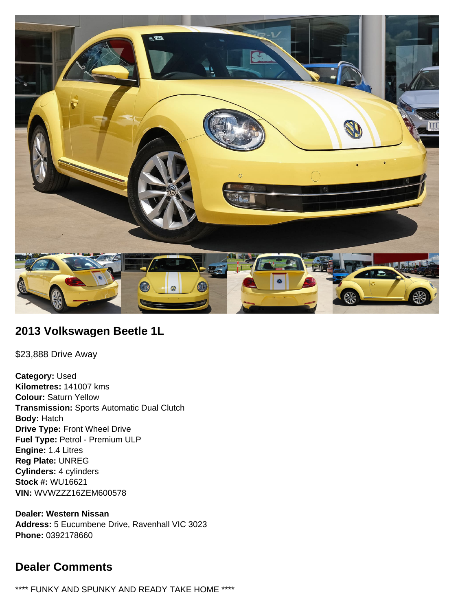

## **2013 Volkswagen Beetle 1L**

\$23,888 Drive Away

**Category:** Used **Kilometres:** 141007 kms **Colour:** Saturn Yellow **Transmission:** Sports Automatic Dual Clutch **Body:** Hatch **Drive Type:** Front Wheel Drive **Fuel Type:** Petrol - Premium ULP **Engine:** 1.4 Litres **Reg Plate:** UNREG **Cylinders:** 4 cylinders **Stock #:** WU16621 **VIN:** WVWZZZ16ZEM600578

**Dealer: Western Nissan Address:** 5 Eucumbene Drive, Ravenhall VIC 3023 **Phone:** 0392178660

## **Dealer Comments**

\*\*\*\* FUNKY AND SPUNKY AND READY TAKE HOME \*\*\*\*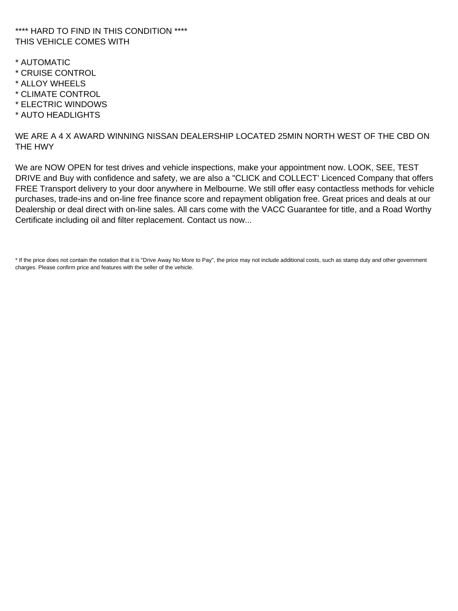#### \*\*\*\* HARD TO FIND IN THIS CONDITION \*\*\*\* THIS VEHICLE COMES WITH

- \* AUTOMATIC
- \* CRUISE CONTROL
- \* ALLOY WHEELS
- \* CLIMATE CONTROL
- \* ELECTRIC WINDOWS
- \* AUTO HEADLIGHTS

WE ARE A 4 X AWARD WINNING NISSAN DEALERSHIP LOCATED 25MIN NORTH WEST OF THE CBD ON THE HWY

We are NOW OPEN for test drives and vehicle inspections, make your appointment now. LOOK, SEE, TEST DRIVE and Buy with confidence and safety, we are also a "CLICK and COLLECT' Licenced Company that offers FREE Transport delivery to your door anywhere in Melbourne. We still offer easy contactless methods for vehicle purchases, trade-ins and on-line free finance score and repayment obligation free. Great prices and deals at our Dealership or deal direct with on-line sales. All cars come with the VACC Guarantee for title, and a Road Worthy Certificate including oil and filter replacement. Contact us now...

\* If the price does not contain the notation that it is "Drive Away No More to Pay", the price may not include additional costs, such as stamp duty and other government charges. Please confirm price and features with the seller of the vehicle.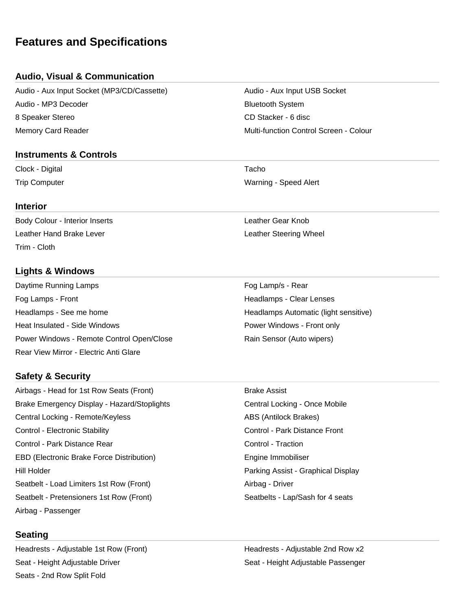# **Features and Specifications**

## **Audio, Visual & Communication**

Audio - Aux Input Socket (MP3/CD/Cassette) Audio - Aux Input USB Socket Audio - MP3 Decoder Bluetooth System 8 Speaker Stereo CD Stacker - 6 disc Memory Card Reader Multi-function Control Screen - Colour

#### **Instruments & Controls**

Clock - Digital **Tacho** 

#### **Interior**

Body Colour - Interior Inserts **Leather Gear Knob** Leather Hand Brake Lever Leather Steering Wheel Trim - Cloth

## **Lights & Windows**

Daytime Running Lamps **Fog Lamp's - Rear** Fog Lamp's - Rear Fog Lamps - Front **Headlamps - Clear Lenses** Headlamps - See me home **Headlamps Automatic (light sensitive)** Headlamps Automatic (light sensitive) Heat Insulated - Side Windows **Power Windows - Front only** Power Windows - Remote Control Open/Close **Rain Sensor (Auto wipers)** Rear View Mirror - Electric Anti Glare

#### **Safety & Security**

Airbags - Head for 1st Row Seats (Front) Brake Assist Brake Emergency Display - Hazard/Stoplights **Central Locking - Once Mobile** Central Locking - Once Mobile Central Locking - Remote/Keyless ABS (Antilock Brakes) Control - Electronic Stability Control - Park Distance Front Control - Park Distance Rear Control - Traction Control - Traction EBD (Electronic Brake Force Distribution) The Engine Immobiliser Hill Holder Parking Assist - Graphical Display Seatbelt - Load Limiters 1st Row (Front) Airbag - Driver Seatbelt - Pretensioners 1st Row (Front) Seatbelts - Lap/Sash for 4 seats Airbag - Passenger

#### **Seating**

Headrests - Adjustable 1st Row (Front) The Meadrests - Adjustable 2nd Row x2 Seat - Height Adjustable Driver November 1988 Seat - Height Adjustable Passenger Seats - 2nd Row Split Fold

Trip Computer Warning - Speed Alert